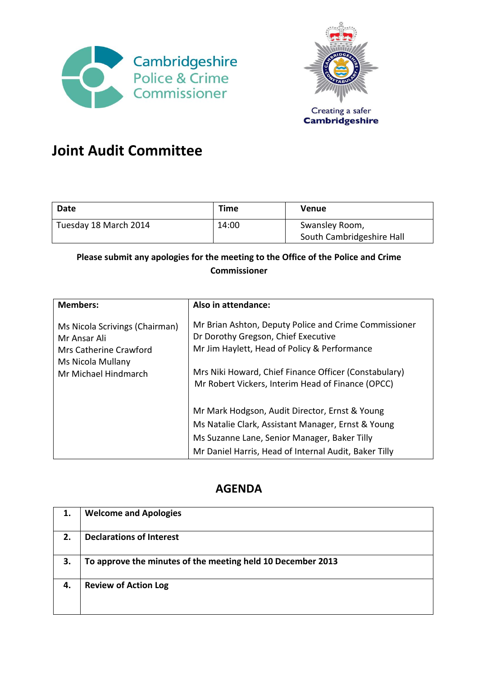



## **Joint Audit Committee**

| Date                  | <b>Time</b> | Venue                     |
|-----------------------|-------------|---------------------------|
| Tuesday 18 March 2014 | 14:00       | Swansley Room,            |
|                       |             | South Cambridgeshire Hall |

## **Please submit any apologies for the meeting to the Office of the Police and Crime Commissioner**

| <b>Members:</b>                                                                                                       | Also in attendance:                                                                                                                                                                                                                                        |
|-----------------------------------------------------------------------------------------------------------------------|------------------------------------------------------------------------------------------------------------------------------------------------------------------------------------------------------------------------------------------------------------|
| Ms Nicola Scrivings (Chairman)<br>Mr Ansar Ali<br>Mrs Catherine Crawford<br>Ms Nicola Mullany<br>Mr Michael Hindmarch | Mr Brian Ashton, Deputy Police and Crime Commissioner<br>Dr Dorothy Gregson, Chief Executive<br>Mr Jim Haylett, Head of Policy & Performance<br>Mrs Niki Howard, Chief Finance Officer (Constabulary)<br>Mr Robert Vickers, Interim Head of Finance (OPCC) |
|                                                                                                                       | Mr Mark Hodgson, Audit Director, Ernst & Young<br>Ms Natalie Clark, Assistant Manager, Ernst & Young<br>Ms Suzanne Lane, Senior Manager, Baker Tilly<br>Mr Daniel Harris, Head of Internal Audit, Baker Tilly                                              |

## **AGENDA**

| 1. | <b>Welcome and Apologies</b>                                |
|----|-------------------------------------------------------------|
| 2. | <b>Declarations of Interest</b>                             |
| 3. | To approve the minutes of the meeting held 10 December 2013 |
| 4. | <b>Review of Action Log</b>                                 |